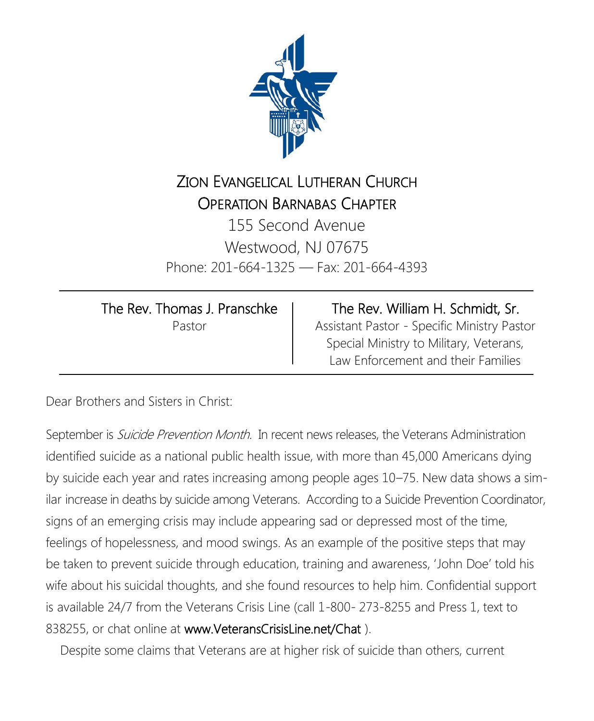

## ZION EVANGELICAL LUTHERAN CHURCH OPERATION BARNABAS CHAPTER

155 Second Avenue Westwood, NJ 07675 Phone: 201-664-1325 — Fax: 201-664-4393

 $\overline{a}$ 

| The Rev. Thomas J. Pranschke |
|------------------------------|
| Pastor                       |

 Assistant Pastor - Specific Ministry Pastor The Rev. William H. Schmidt, Sr. Special Ministry to Military, Veterans, Law Enforcement and their Families

Dear Brothers and Sisters in Christ:

September is Suicide Prevention Month. In recent news releases, the Veterans Administration identified suicide as a national public health issue, with more than 45,000 Americans dying by suicide each year and rates increasing among people ages 10–75. New data shows a similar increase in deaths by suicide among Veterans. According to a Suicide Prevention Coordinator, signs of an emerging crisis may include appearing sad or depressed most of the time, feelings of hopelessness, and mood swings. As an example of the positive steps that may be taken to prevent suicide through education, training and awareness, 'John Doe' told his wife about his suicidal thoughts, and she found resources to help him. Confidential support is available 24/7 from the Veterans Crisis Line (call 1-800- 273-8255 and Press 1, text to 838255, or chat online at [www.VeteransCrisisLine.net/Chat](http://www.VeteransCrisisLine.net/Chat) ).

Despite some claims that Veterans are at higher risk of suicide than others, current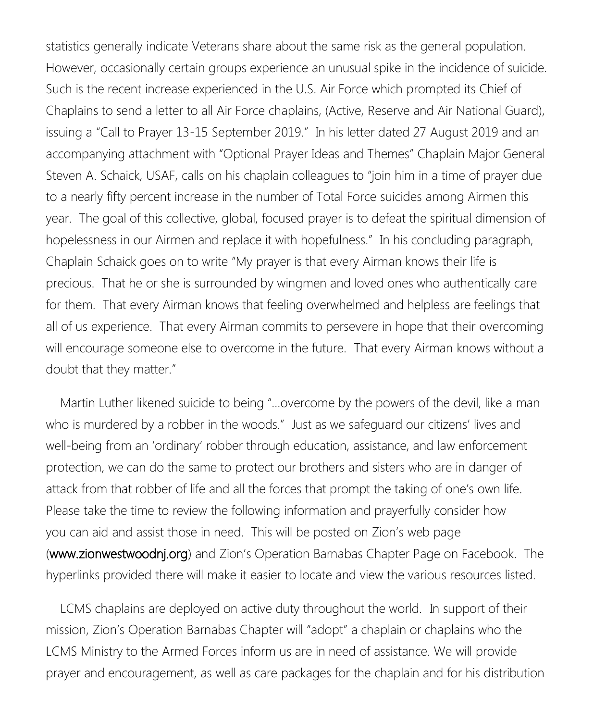statistics generally indicate Veterans share about the same risk as the general population. However, occasionally certain groups experience an unusual spike in the incidence of suicide. Such is the recent increase experienced in the U.S. Air Force which prompted its Chief of Chaplains to send a letter to all Air Force chaplains, (Active, Reserve and Air National Guard), issuing a "Call to Prayer 13-15 September 2019." In his letter dated 27 August 2019 and an accompanying attachment with "Optional Prayer Ideas and Themes" Chaplain Major General Steven A. Schaick, USAF, calls on his chaplain colleagues to "join him in a time of prayer due to a nearly fifty percent increase in the number of Total Force suicides among Airmen this year. The goal of this collective, global, focused prayer is to defeat the spiritual dimension of hopelessness in our Airmen and replace it with hopefulness." In his concluding paragraph, Chaplain Schaick goes on to write "My prayer is that every Airman knows their life is precious. That he or she is surrounded by wingmen and loved ones who authentically care for them. That every Airman knows that feeling overwhelmed and helpless are feelings that all of us experience. That every Airman commits to persevere in hope that their overcoming will encourage someone else to overcome in the future. That every Airman knows without a doubt that they matter."

 Martin Luther likened suicide to being "…overcome by the powers of the devil, like a man who is murdered by a robber in the woods." Just as we safeguard our citizens' lives and well-being from an 'ordinary' robber through education, assistance, and law enforcement protection, we can do the same to protect our brothers and sisters who are in danger of attack from that robber of life and all the forces that prompt the taking of one's own life. Please take the time to review the following information and prayerfully consider how you can aid and assist those in need. This will be posted on Zion's web page [\(www.zionwestwoodnj.org](http://www.zionwestwoodnj.org)) and Zion's Operation Barnabas Chapter Page on Facebook. The hyperlinks provided there will make it easier to locate and view the various resources listed.

 LCMS chaplains are deployed on active duty throughout the world. In support of their mission, Zion's Operation Barnabas Chapter will "adopt" a chaplain or chaplains who the LCMS Ministry to the Armed Forces inform us are in need of assistance. We will provide prayer and encouragement, as well as care packages for the chaplain and for his distribution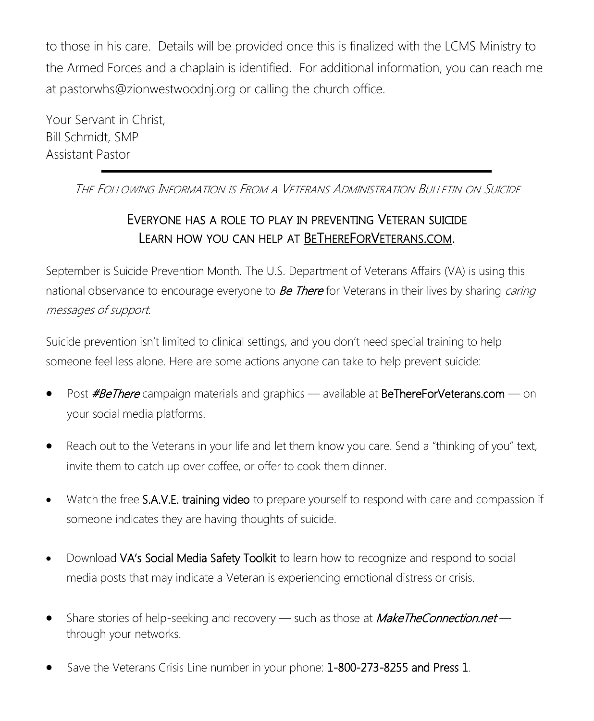to those in his care. Details will be provided once this is finalized with the LCMS Ministry to the Armed Forces and a chaplain is identified. For additional information, you can reach me at [pastorwhs@zionwestwoodnj.org](mailto:pastorwhs@zionwestwoodnj.org) or calling the church office.

Your Servant in Christ, Bill Schmidt, SMP Assistant Pastor

THE FOLLOWING INFORMATION IS FROM A VETERANS ADMINISTRATION BULLETIN ON SUICIDE

## <sup>E</sup>VERYONE HAS <sup>A</sup> ROLE TO PLAY IN PREVENTING VETERAN SUICIDE LEARN HOW YOU CAN HELP AT BETHEREFORV[ETERANS](https://links.govdelivery.com/track?type=click&enid=ZWFzPTEmbXNpZD0mYXVpZD0mbWFpbGluZ2lkPTIwMTkwOTAzLjk3MjU3MDEmbWVzc2FnZWlkPU1EQi1QUkQtQlVMLTIwMTkwOTAzLjk3MjU3MDEmZGF0YWJhc2VpZD0xMDAxJnNlcmlhbD0xNjgwODgzNSZlbWFpbGlkPW5hdnljb3Jwc21hbkB2ZXJpem9uLm5ldCZ1c2VyaWQ).COM.

September is Suicide Prevention Month. The U.S. Department of Veterans Affairs (VA) is using this national observance to encourage everyone to **Be There** for Veterans in their lives by sharing *caring* messages of support.

Suicide prevention isn't limited to clinical settings, and you don't need special training to help someone feel less alone. Here are some actions anyone can take to help prevent suicide:

- Post **#BeThere** campaign materials and graphics available at [BeThereForVeterans.com](https://links.govdelivery.com/track?type=click&enid=ZWFzPTEmbXNpZD0mYXVpZD0mbWFpbGluZ2lkPTIwMTkwOTAzLjk3MjU3MDEmbWVzc2FnZWlkPU1EQi1QUkQtQlVMLTIwMTkwOTAzLjk3MjU3MDEmZGF0YWJhc2VpZD0xMDAxJnNlcmlhbD0xNjgwODgzNSZlbWFpbGlkPW5hdnljb3Jwc21hbkB2ZXJpem9uLm5ldCZ1c2VyaWQ) on your social media platforms.
- Reach out to the Veterans in your life and let them know you care. Send a "thinking of you" text, invite them to catch up over coffee, or offer to cook them dinner.
- Watch the free [S.A.V.E. training video](https://links.govdelivery.com/track?type=click&enid=ZWFzPTEmbXNpZD0mYXVpZD0mbWFpbGluZ2lkPTIwMTkwOTAzLjk3MjU3MDEmbWVzc2FnZWlkPU1EQi1QUkQtQlVMLTIwMTkwOTAzLjk3MjU3MDEmZGF0YWJhc2VpZD0xMDAxJnNlcmlhbD0xNjgwODgzNSZlbWFpbGlkPW5hdnljb3Jwc21hbkB2ZXJpem9uLm5ldCZ1c2VyaWQ) to prepare yourself to respond with care and compassion if someone indicates they are having thoughts of suicide.
- Download [VA's Social Media Safety Toolkit](https://links.govdelivery.com/track?type=click&enid=ZWFzPTEmbXNpZD0mYXVpZD0mbWFpbGluZ2lkPTIwMTkwOTAzLjk3MjU3MDEmbWVzc2FnZWlkPU1EQi1QUkQtQlVMLTIwMTkwOTAzLjk3MjU3MDEmZGF0YWJhc2VpZD0xMDAxJnNlcmlhbD0xNjgwODgzNSZlbWFpbGlkPW5hdnljb3Jwc21hbkB2ZXJpem9uLm5ldCZ1c2VyaWQ) to learn how to recognize and respond to social media posts that may indicate a Veteran is experiencing emotional distress or crisis.
- Share stories of help-seeking and recovery such as those at **[MakeTheConnection.net](https://links.govdelivery.com/track?type=click&enid=ZWFzPTEmbXNpZD0mYXVpZD0mbWFpbGluZ2lkPTIwMTkwOTAzLjk3MjU3MDEmbWVzc2FnZWlkPU1EQi1QUkQtQlVMLTIwMTkwOTAzLjk3MjU3MDEmZGF0YWJhc2VpZD0xMDAxJnNlcmlhbD0xNjgwODgzNSZlbWFpbGlkPW5hdnljb3Jwc21hbkB2ZXJpem9uLm5ldCZ1c2VyaWQ)** through your networks.
- Save the Veterans Crisis Line number in your phone: [1-800-273-8255](tel:1-800-273-8255) and Press 1.